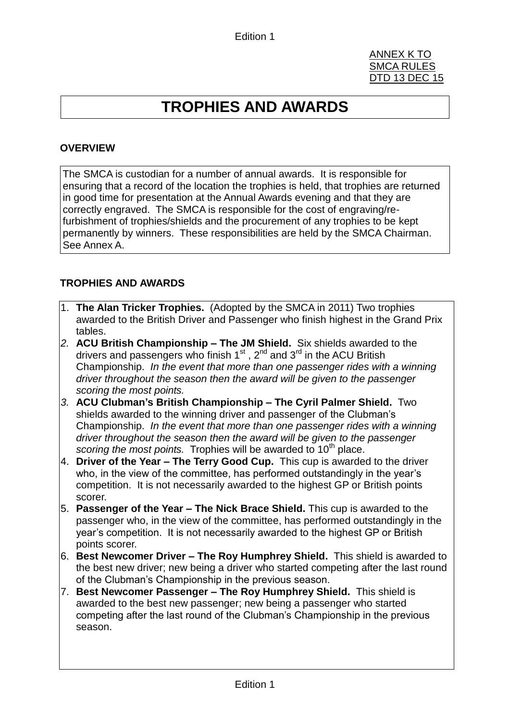#### ANNEX K TO SMCA RULES DTD 13 DEC 15

# **TROPHIES AND AWARDS**

### **OVERVIEW**

The SMCA is custodian for a number of annual awards. It is responsible for ensuring that a record of the location the trophies is held, that trophies are returned in good time for presentation at the Annual Awards evening and that they are correctly engraved. The SMCA is responsible for the cost of engraving/refurbishment of trophies/shields and the procurement of any trophies to be kept permanently by winners. These responsibilities are held by the SMCA Chairman. See Annex A.

#### **TROPHIES AND AWARDS**

- 1. **The Alan Tricker Trophies.** (Adopted by the SMCA in 2011) Two trophies awarded to the British Driver and Passenger who finish highest in the Grand Prix tables.
- *2.* **ACU British Championship – The JM Shield.** Six shields awarded to the drivers and passengers who finish  $1<sup>st</sup>$ ,  $2<sup>nd</sup>$  and  $3<sup>rd</sup>$  in the ACU British Championship. *In the event that more than one passenger rides with a winning driver throughout the season then the award will be given to the passenger scoring the most points.*
- *3.* **ACU Clubman's British Championship – The Cyril Palmer Shield.** Two shields awarded to the winning driver and passenger of the Clubman's Championship. *In the event that more than one passenger rides with a winning driver throughout the season then the award will be given to the passenger scoring the most points.* Trophies will be awarded to 10<sup>th</sup> place.
- 4. **Driver of the Year – The Terry Good Cup.** This cup is awarded to the driver who, in the view of the committee, has performed outstandingly in the year's competition. It is not necessarily awarded to the highest GP or British points scorer.
- 5. **Passenger of the Year – The Nick Brace Shield.** This cup is awarded to the passenger who, in the view of the committee, has performed outstandingly in the year's competition. It is not necessarily awarded to the highest GP or British points scorer.
- 6. **Best Newcomer Driver – The Roy Humphrey Shield.** This shield is awarded to the best new driver; new being a driver who started competing after the last round of the Clubman's Championship in the previous season.
- 7. **Best Newcomer Passenger – The Roy Humphrey Shield.** This shield is awarded to the best new passenger; new being a passenger who started competing after the last round of the Clubman's Championship in the previous season.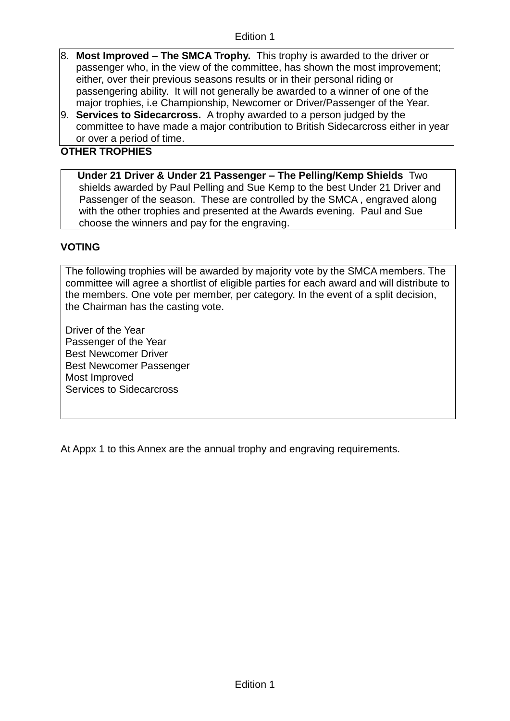- 8. **Most Improved – The SMCA Trophy.** This trophy is awarded to the driver or passenger who, in the view of the committee, has shown the most improvement; either, over their previous seasons results or in their personal riding or passengering ability. It will not generally be awarded to a winner of one of the major trophies, i.e Championship, Newcomer or Driver/Passenger of the Year.
- 9. **Services to Sidecarcross.** A trophy awarded to a person judged by the committee to have made a major contribution to British Sidecarcross either in year or over a period of time.

## **OTHER TROPHIES**

**Under 21 Driver & Under 21 Passenger – The Pelling/Kemp Shields** Two shields awarded by Paul Pelling and Sue Kemp to the best Under 21 Driver and Passenger of the season. These are controlled by the SMCA , engraved along with the other trophies and presented at the Awards evening. Paul and Sue choose the winners and pay for the engraving.

# **VOTING**

The following trophies will be awarded by majority vote by the SMCA members. The committee will agree a shortlist of eligible parties for each award and will distribute to the members. One vote per member, per category. In the event of a split decision, the Chairman has the casting vote.

Driver of the Year Passenger of the Year Best Newcomer Driver Best Newcomer Passenger Most Improved Services to Sidecarcross

At Appx 1 to this Annex are the annual trophy and engraving requirements.